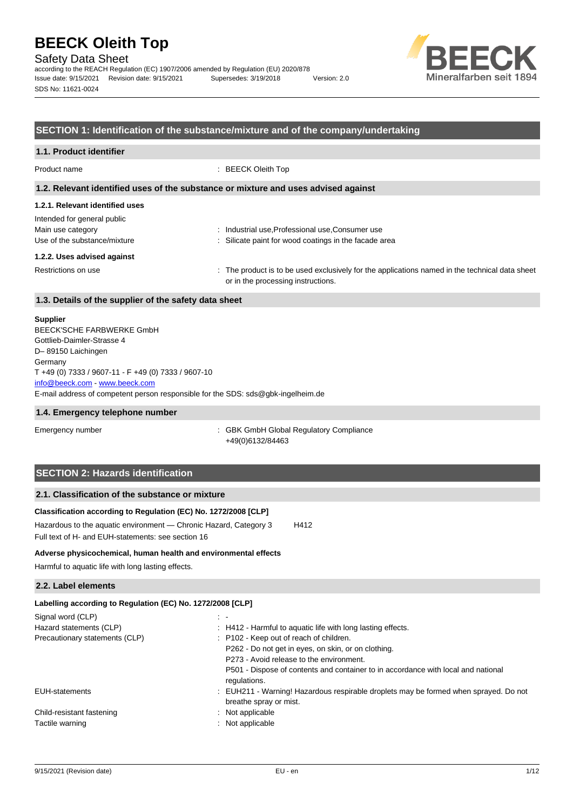Safety Data Sheet

according to the REACH Regulation (EC) 1907/2006 amended by Regulation (EU) 2020/878 Issue date: 9/15/2021 Revision date: 9/15/2021 Supersedes: 3/19/2018 Version: 2.0 SDS No: 11621-0024



## **SECTION 1: Identification of the substance/mixture and of the company/undertaking**

# **1.1. Product identifier**

Product name : BEECK Oleith Top

### **1.2. Relevant identified uses of the substance or mixture and uses advised against**

## **1.2.1. Relevant identified uses**

| Intended for general public  |                                                                                                |
|------------------------------|------------------------------------------------------------------------------------------------|
| Main use category            | : Industrial use, Professional use, Consumer use                                               |
| Use of the substance/mixture | : Silicate paint for wood coatings in the facade area                                          |
| 1.2.2. Uses advised against  |                                                                                                |
| Restrictions on use          | : The product is to be used exclusively for the applications named in the technical data sheet |

or in the processing instructions.

# **1.3. Details of the supplier of the safety data sheet**

### **Supplier**

E-mail address of competent person responsible for the SDS: sds@gbk-ingelheim.de BEECK'SCHE FARBWERKE GmbH Gottlieb-Daimler-Strasse 4 D– 89150 Laichingen **Germany** T +49 (0) 7333 / 9607-11 - F +49 (0) 7333 / 9607-10 [info@beeck.com](mailto:info@beeck.com) - [www.beeck.com](http://www.beeck.com/)

### **1.4. Emergency telephone number**

Emergency number **Emergency** number **1996** is GBK GmbH Global Regulatory Compliance +49(0)6132/84463

# **SECTION 2: Hazards identification**

## **2.1. Classification of the substance or mixture**

# **Classification according to Regulation (EC) No. 1272/2008 [CLP]**

Hazardous to the aquatic environment - Chronic Hazard, Category 3 H412 Full text of H- and EUH-statements: see section 16

### **Adverse physicochemical, human health and environmental effects**

Harmful to aquatic life with long lasting effects.

### **2.2. Label elements**

| Labelling according to Regulation (EC) No. 1272/2008 [CLP]                                                     |
|----------------------------------------------------------------------------------------------------------------|
| $\sim$ 10 $\pm$                                                                                                |
| : H412 - Harmful to aquatic life with long lasting effects.                                                    |
| : P102 - Keep out of reach of children.                                                                        |
| P262 - Do not get in eyes, on skin, or on clothing.                                                            |
| P273 - Avoid release to the environment.                                                                       |
| P501 - Dispose of contents and container to in accordance with local and national<br>regulations.              |
| : EUH211 - Warning! Hazardous respirable droplets may be formed when sprayed. Do not<br>breathe spray or mist. |
| $:$ Not applicable                                                                                             |
| : Not applicable                                                                                               |
|                                                                                                                |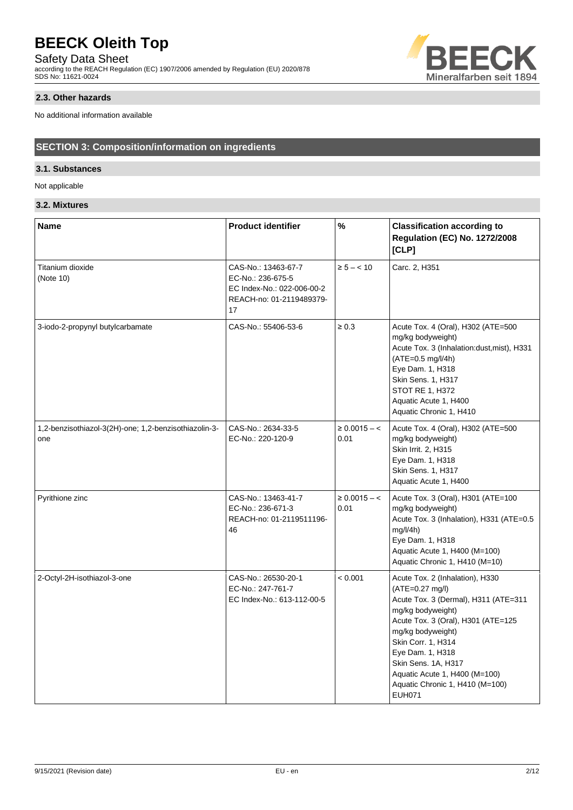Safety Data Sheet

according to the REACH Regulation (EC) 1907/2006 amended by Regulation (EU) 2020/878 SDS No: 11621-0024



## **2.3. Other hazards**

No additional information available

# **SECTION 3: Composition/information on ingredients**

# **3.1. Substances**

Not applicable

# **3.2. Mixtures**

| <b>Name</b>                                                  | <b>Product identifier</b>                                                                                                  | $\frac{1}{2}$                | <b>Classification according to</b><br><b>Regulation (EC) No. 1272/2008</b><br>[CLP]                                                                                                                                                                                                                                                |  |  |
|--------------------------------------------------------------|----------------------------------------------------------------------------------------------------------------------------|------------------------------|------------------------------------------------------------------------------------------------------------------------------------------------------------------------------------------------------------------------------------------------------------------------------------------------------------------------------------|--|--|
| Titanium dioxide<br>(Note 10)                                | CAS-No.: 13463-67-7<br>$\ge 5 - < 10$<br>EC-No.: 236-675-5<br>EC Index-No.: 022-006-00-2<br>REACH-no: 01-2119489379-<br>17 |                              | Carc. 2, H351                                                                                                                                                                                                                                                                                                                      |  |  |
| 3-iodo-2-propynyl butylcarbamate                             | CAS-No.: 55406-53-6<br>$\geq 0.3$                                                                                          |                              | Acute Tox. 4 (Oral), H302 (ATE=500<br>mg/kg bodyweight)<br>Acute Tox. 3 (Inhalation:dust, mist), H331<br>$(ATE=0.5 mg/l/4h)$<br>Eye Dam. 1, H318<br>Skin Sens. 1, H317<br>STOT RE 1, H372<br>Aquatic Acute 1, H400<br>Aquatic Chronic 1, H410                                                                                      |  |  |
| 1,2-benzisothiazol-3(2H)-one; 1,2-benzisothiazolin-3-<br>one | CAS-No.: 2634-33-5<br>EC-No.: 220-120-9                                                                                    | $\geq 0.0015 - \leq$<br>0.01 | Acute Tox. 4 (Oral), H302 (ATE=500<br>mg/kg bodyweight)<br>Skin Irrit. 2, H315<br>Eye Dam. 1, H318<br>Skin Sens. 1, H317<br>Aquatic Acute 1, H400                                                                                                                                                                                  |  |  |
| Pyrithione zinc                                              | CAS-No.: 13463-41-7<br>EC-No.: 236-671-3<br>REACH-no: 01-2119511196-<br>46                                                 | $\geq 0.0015 - c$<br>0.01    | Acute Tox. 3 (Oral), H301 (ATE=100<br>mg/kg bodyweight)<br>Acute Tox. 3 (Inhalation), H331 (ATE=0.5<br>mg/l/4h<br>Eye Dam. 1, H318<br>Aquatic Acute 1, H400 (M=100)<br>Aquatic Chronic 1, H410 (M=10)                                                                                                                              |  |  |
| 2-Octyl-2H-isothiazol-3-one                                  | CAS-No.: 26530-20-1<br>EC-No.: 247-761-7<br>EC Index-No.: 613-112-00-5                                                     | < 0.001                      | Acute Tox. 2 (Inhalation), H330<br>$(ATE=0.27 mg/l)$<br>Acute Tox. 3 (Dermal), H311 (ATE=311<br>mg/kg bodyweight)<br>Acute Tox. 3 (Oral), H301 (ATE=125<br>mg/kg bodyweight)<br>Skin Corr. 1, H314<br>Eye Dam. 1, H318<br>Skin Sens. 1A, H317<br>Aquatic Acute 1, H400 (M=100)<br>Aquatic Chronic 1, H410 (M=100)<br><b>EUH071</b> |  |  |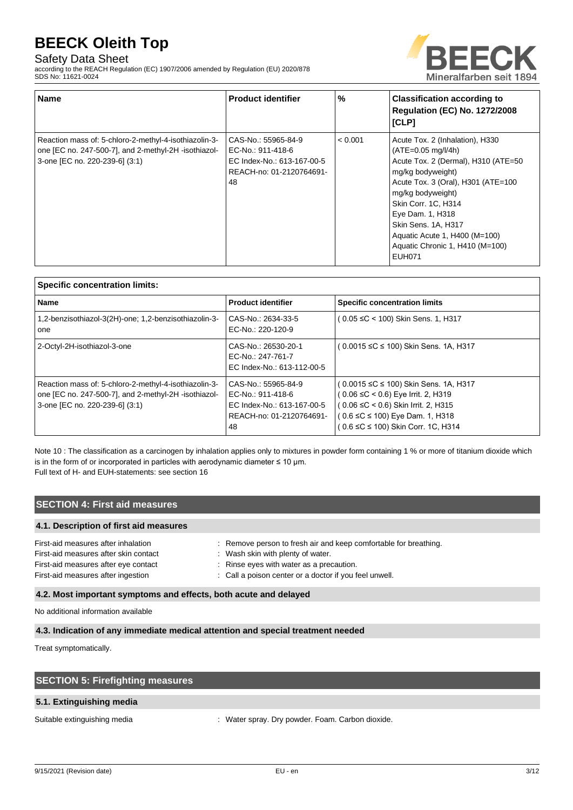# Safety Data Sheet

according to the REACH Regulation (EC) 1907/2006 amended by Regulation (EU) 2020/878 SDS No: 11621-0024



| <b>Name</b>                                                                                                                                     | <b>Product identifier</b>                                                                                | %       | <b>Classification according to</b><br><b>Regulation (EC) No. 1272/2008</b><br>[CLP]                                                                                                                                                                                                                                                   |
|-------------------------------------------------------------------------------------------------------------------------------------------------|----------------------------------------------------------------------------------------------------------|---------|---------------------------------------------------------------------------------------------------------------------------------------------------------------------------------------------------------------------------------------------------------------------------------------------------------------------------------------|
| Reaction mass of: 5-chloro-2-methyl-4-isothiazolin-3-<br>one [EC no. 247-500-7], and 2-methyl-2H -isothiazol-<br>3-one [EC no. 220-239-6] (3:1) | CAS-No.: 55965-84-9<br>EC-No.: 911-418-6<br>EC Index-No.: 613-167-00-5<br>REACH-no: 01-2120764691-<br>48 | < 0.001 | Acute Tox. 2 (Inhalation), H330<br>$(ATE=0.05 mg/l/4h)$<br>Acute Tox. 2 (Dermal), H310 (ATE=50<br>mg/kg bodyweight)<br>Acute Tox. 3 (Oral), H301 (ATE=100<br>mg/kg bodyweight)<br>Skin Corr. 1C, H314<br>Eye Dam. 1, H318<br>Skin Sens. 1A, H317<br>Aquatic Acute 1, H400 (M=100)<br>Aquatic Chronic 1, H410 (M=100)<br><b>EUH071</b> |

| <b>Specific concentration limits:</b>                                                                                                           |                                                                                                          |                                                                                                                                                                                                        |
|-------------------------------------------------------------------------------------------------------------------------------------------------|----------------------------------------------------------------------------------------------------------|--------------------------------------------------------------------------------------------------------------------------------------------------------------------------------------------------------|
| <b>Name</b>                                                                                                                                     | <b>Product identifier</b>                                                                                | <b>Specific concentration limits</b>                                                                                                                                                                   |
| 1,2-benzisothiazol-3(2H)-one; 1,2-benzisothiazolin-3-<br>one                                                                                    | CAS-No.: 2634-33-5<br>EC-No.: 220-120-9                                                                  | ( 0.05 ≤C < 100) Skin Sens. 1, H317                                                                                                                                                                    |
| 2-Octyl-2H-isothiazol-3-one                                                                                                                     | CAS-No.: 26530-20-1<br>EC-No.: 247-761-7<br>EC Index-No.: 613-112-00-5                                   | ( 0.0015 ≤C ≤ 100) Skin Sens. 1A, H317                                                                                                                                                                 |
| Reaction mass of: 5-chloro-2-methyl-4-isothiazolin-3-<br>one [EC no. 247-500-7], and 2-methyl-2H -isothiazol-<br>3-one [EC no. 220-239-6] (3:1) | CAS-No.: 55965-84-9<br>EC-No.: 911-418-6<br>EC Index-No.: 613-167-00-5<br>REACH-no: 01-2120764691-<br>48 | ( 0.0015 ≤C ≤ 100) Skin Sens. 1A, H317<br>0.06 ≤C < 0.6) Eye Irrit. 2, H319<br>( 0.06 ≤C < 0.6) Skin Irrit. 2, H315<br>$(0.6 \leq C \leq 100)$ Eye Dam. 1, H318<br>( 0.6 ≤C ≤ 100) Skin Corr. 1C, H314 |

Note 10 : The classification as a carcinogen by inhalation applies only to mixtures in powder form containing 1 % or more of titanium dioxide which is in the form of or incorporated in particles with aerodynamic diameter  $\leq 10$  µm. Full text of H- and EUH-statements: see section 16

# **SECTION 4: First aid measures**

### **4.1. Description of first aid measures**

| First-aid measures after inhalation   | : Remove person to fresh air and keep comfortable for breathing. |
|---------------------------------------|------------------------------------------------------------------|
| First-aid measures after skin contact | : Wash skin with plenty of water.                                |
| First-aid measures after eye contact  | $\therefore$ Rinse eyes with water as a precaution.              |
| First-aid measures after ingestion    | : Call a poison center or a doctor if you feel unwell.           |
|                                       |                                                                  |

# **4.2. Most important symptoms and effects, both acute and delayed**

No additional information available

# **4.3. Indication of any immediate medical attention and special treatment needed**

Treat symptomatically.

| <b>SECTION 5: Firefighting measures</b> |                                                  |
|-----------------------------------------|--------------------------------------------------|
| 5.1. Extinguishing media                |                                                  |
| Suitable extinguishing media            | : Water spray. Dry powder. Foam. Carbon dioxide. |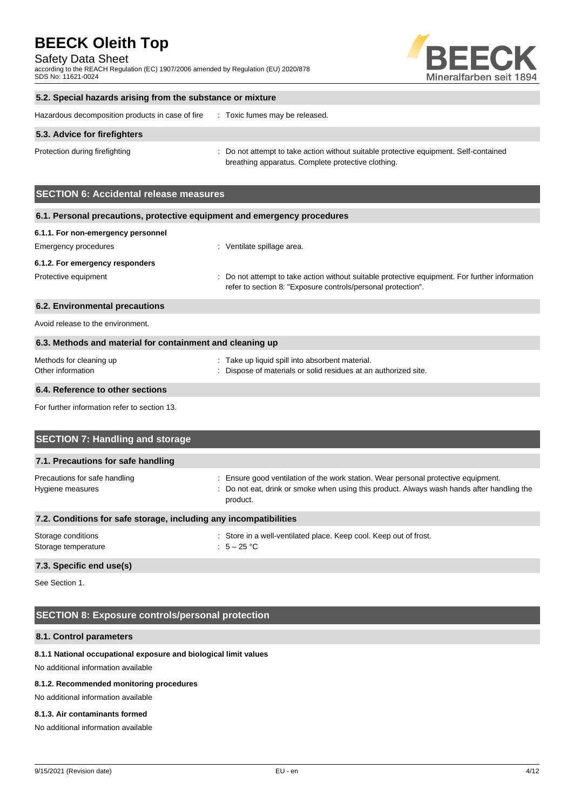Safety Data Sheet

according to the REACH Regulation (EC) 1907/2006 amended by Regulation (EU) 2020/878 SDS No: 11621-0024



## **5.2. Special hazards arising from the substance or mixture**

| Hazardous decomposition products in case of fire | Toxic fumes may be released. |
|--------------------------------------------------|------------------------------|
|                                                  |                              |

## **5.3. Advice for firefighters**

Protection during firefighting **interval to a statempt to take action without suitable protective equipment. Self-contained** breathing apparatus. Complete protective clothing.

# **SECTION 6: Accidental release measures**

| 6.1. Personal precautions, protective equipment and emergency procedures |                                                                                                                                                                |  |  |
|--------------------------------------------------------------------------|----------------------------------------------------------------------------------------------------------------------------------------------------------------|--|--|
| 6.1.1. For non-emergency personnel                                       |                                                                                                                                                                |  |  |
| Emergency procedures                                                     | : Ventilate spillage area.                                                                                                                                     |  |  |
| 6.1.2. For emergency responders                                          |                                                                                                                                                                |  |  |
| Protective equipment                                                     | : Do not attempt to take action without suitable protective equipment. For further information<br>refer to section 8: "Exposure controls/personal protection". |  |  |
| 6.2. Environmental precautions                                           |                                                                                                                                                                |  |  |
| Avoid release to the environment.                                        |                                                                                                                                                                |  |  |
| 6.3. Methods and material for containment and cleaning up                |                                                                                                                                                                |  |  |
| Methods for cleaning up<br>Other information                             | : Take up liquid spill into absorbent material.<br>: Dispose of materials or solid residues at an authorized site.                                             |  |  |

### **6.4. Reference to other sections**

For further information refer to section 13.

| <b>SECTION 7: Handling and storage</b>                            |                                                                                                                                                                                              |  |  |
|-------------------------------------------------------------------|----------------------------------------------------------------------------------------------------------------------------------------------------------------------------------------------|--|--|
| 7.1. Precautions for safe handling                                |                                                                                                                                                                                              |  |  |
| Precautions for safe handling<br>Hygiene measures                 | : Ensure good ventilation of the work station. Wear personal protective equipment.<br>: Do not eat, drink or smoke when using this product. Always wash hands after handling the<br>product. |  |  |
| 7.2. Conditions for safe storage, including any incompatibilities |                                                                                                                                                                                              |  |  |
| Storage conditions<br>Storage temperature                         | : Store in a well-ventilated place. Keep cool. Keep out of frost.<br>: $5-25$ °C                                                                                                             |  |  |

## **7.3. Specific end use(s)**

See Section 1.

# **SECTION 8: Exposure controls/personal protection**

### **8.1. Control parameters**

### **8.1.1 National occupational exposure and biological limit values**

No additional information available

### **8.1.2. Recommended monitoring procedures**

No additional information available

### **8.1.3. Air contaminants formed**

No additional information available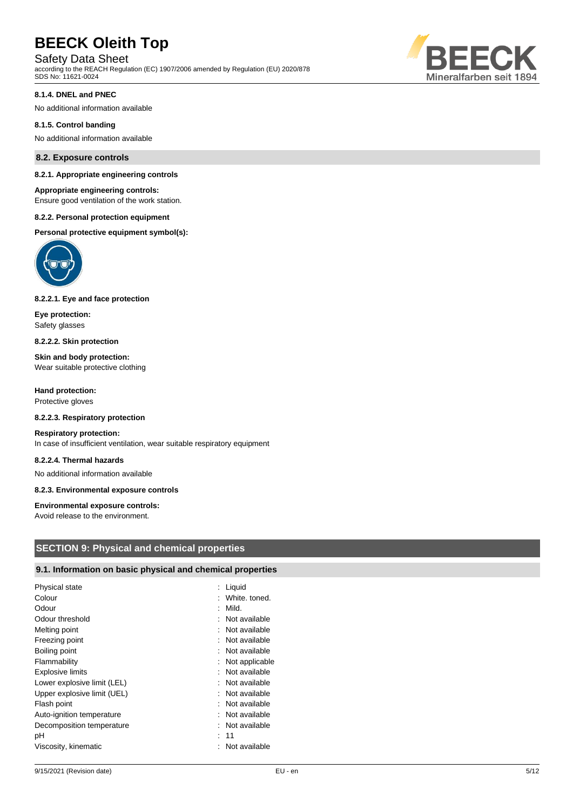# Safety Data Sheet

according to the REACH Regulation (EC) 1907/2006 amended by Regulation (EU) 2020/878 SDS No: 11621-0024



### **8.1.4. DNEL and PNEC**

No additional information available

### **8.1.5. Control banding**

No additional information available

### **8.2. Exposure controls**

#### **8.2.1. Appropriate engineering controls**

### **Appropriate engineering controls:**

Ensure good ventilation of the work station.

### **8.2.2. Personal protection equipment**

**Personal protective equipment symbol(s):**



### **8.2.2.1. Eye and face protection**

**Eye protection:** Safety glasses

**8.2.2.2. Skin protection**

**Skin and body protection:** Wear suitable protective clothing

**Hand protection:** Protective gloves

### **8.2.2.3. Respiratory protection**

#### **Respiratory protection:**

In case of insufficient ventilation, wear suitable respiratory equipment

#### **8.2.2.4. Thermal hazards**

No additional information available

#### **8.2.3. Environmental exposure controls**

### **Environmental exposure controls:**

Avoid release to the environment.

## **SECTION 9: Physical and chemical properties**

# **9.1. Information on basic physical and chemical properties**

| Physical state              | Liquid         |
|-----------------------------|----------------|
| Colour                      | White, toned.  |
| Odour                       | Mild.          |
| Odour threshold             | Not available  |
| Melting point               | Not available  |
| Freezing point              | Not available  |
| Boiling point               | Not available  |
| Flammability                | Not applicable |
| <b>Explosive limits</b>     | Not available  |
| Lower explosive limit (LEL) | Not available  |
| Upper explosive limit (UEL) | Not available  |
| Flash point                 | Not available  |
| Auto-ignition temperature   | Not available  |
| Decomposition temperature   | Not available  |
| рH                          | : 11           |
| Viscosity, kinematic        | Not available  |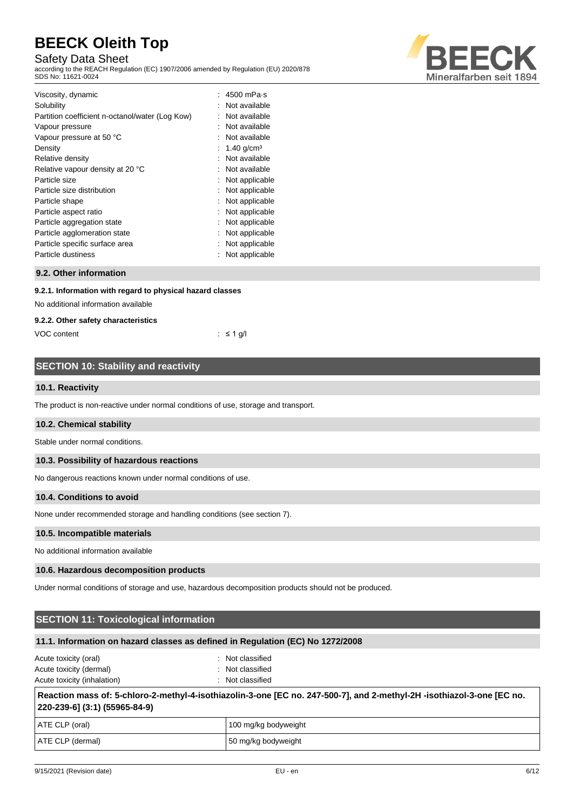# Safety Data Sheet

according to the REACH Regulation (EC) 1907/2006 amended by Regulation (EU) 2020/878 SDS No: 11621-0024



| Viscosity, dynamic                              | 4500 mPa-s     |
|-------------------------------------------------|----------------|
| Solubility                                      | Not available  |
| Partition coefficient n-octanol/water (Log Kow) | Not available  |
| Vapour pressure                                 | Not available  |
| Vapour pressure at 50 °C                        | Not available  |
| Density                                         | 1.40 $q/cm^3$  |
| Relative density                                | Not available  |
| Relative vapour density at 20 °C                | Not available  |
| Particle size                                   | Not applicable |
| Particle size distribution                      | Not applicable |
| Particle shape                                  | Not applicable |
| Particle aspect ratio                           | Not applicable |
| Particle aggregation state                      | Not applicable |
| Particle agglomeration state                    | Not applicable |
| Particle specific surface area                  | Not applicable |
| Particle dustiness                              | Not applicable |

# **9.2. Other information**

### **9.2.1. Information with regard to physical hazard classes**

No additional information available

### **9.2.2. Other safety characteristics**

VOC content : ≤ 1 g/l

# **SECTION 10: Stability and reactivity**

## **10.1. Reactivity**

The product is non-reactive under normal conditions of use, storage and transport.

### **10.2. Chemical stability**

Stable under normal conditions.

### **10.3. Possibility of hazardous reactions**

No dangerous reactions known under normal conditions of use.

### **10.4. Conditions to avoid**

None under recommended storage and handling conditions (see section 7).

### **10.5. Incompatible materials**

No additional information available

### **10.6. Hazardous decomposition products**

Under normal conditions of storage and use, hazardous decomposition products should not be produced.

# **SECTION 11: Toxicological information**

## **11.1. Information on hazard classes as defined in Regulation (EC) No 1272/2008**

| Acute toxicity (oral)       | : Not classified |
|-----------------------------|------------------|
| Acute toxicity (dermal)     | : Not classified |
| Acute toxicity (inhalation) | : Not classified |

**Reaction mass of: 5-chloro-2-methyl-4-isothiazolin-3-one [EC no. 247-500-7], and 2-methyl-2H -isothiazol-3-one [EC no. 220-239-6] (3:1) (55965-84-9)**

| ATE CLP (oral)   | 100 mg/kg bodyweight |
|------------------|----------------------|
| ATE CLP (dermal) | 50 mg/kg bodyweight  |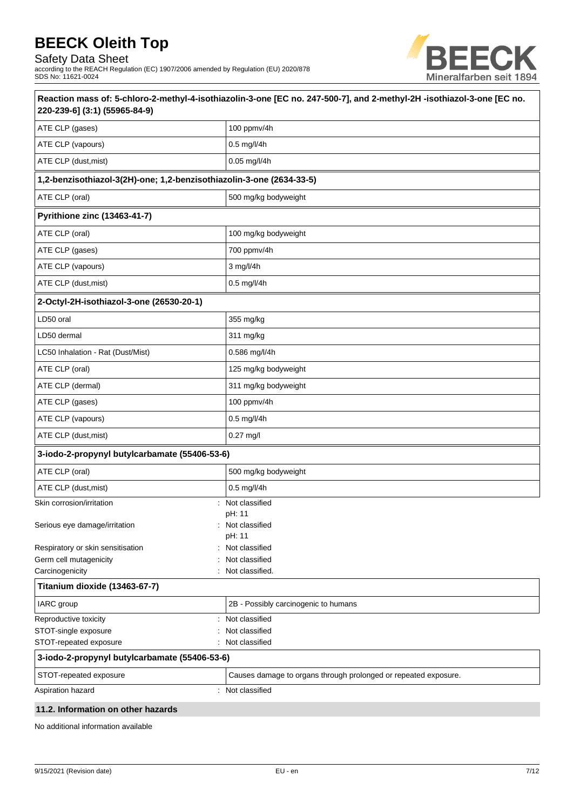Safety Data Sheet

according to the REACH Regulation (EC) 1907/2006 amended by Regulation (EU) 2020/878 SDS No: 11621-0024



| 220-239-6] (3:1) (55965-84-9)                                        | Reaction mass of: 5-chloro-2-methyl-4-isothiazolin-3-one [EC no. 247-500-7], and 2-methyl-2H -isothiazol-3-one [EC no. |  |
|----------------------------------------------------------------------|------------------------------------------------------------------------------------------------------------------------|--|
| ATE CLP (gases)                                                      | 100 ppmv/4h                                                                                                            |  |
| ATE CLP (vapours)                                                    | 0.5 mg/l/4h                                                                                                            |  |
| ATE CLP (dust, mist)                                                 | 0.05 mg/l/4h                                                                                                           |  |
| 1,2-benzisothiazol-3(2H)-one; 1,2-benzisothiazolin-3-one (2634-33-5) |                                                                                                                        |  |
| ATE CLP (oral)                                                       | 500 mg/kg bodyweight                                                                                                   |  |
| <b>Pyrithione zinc (13463-41-7)</b>                                  |                                                                                                                        |  |
| ATE CLP (oral)                                                       | 100 mg/kg bodyweight                                                                                                   |  |
| ATE CLP (gases)                                                      | 700 ppmv/4h                                                                                                            |  |
| ATE CLP (vapours)                                                    | 3 mg/l/4h                                                                                                              |  |
| ATE CLP (dust, mist)                                                 | 0.5 mg/l/4h                                                                                                            |  |
| 2-Octyl-2H-isothiazol-3-one (26530-20-1)                             |                                                                                                                        |  |
| LD50 oral                                                            | 355 mg/kg                                                                                                              |  |
| LD50 dermal                                                          | 311 mg/kg                                                                                                              |  |
| LC50 Inhalation - Rat (Dust/Mist)                                    | 0.586 mg/l/4h                                                                                                          |  |
| ATE CLP (oral)                                                       | 125 mg/kg bodyweight                                                                                                   |  |
| ATE CLP (dermal)                                                     | 311 mg/kg bodyweight                                                                                                   |  |
| ATE CLP (gases)                                                      | 100 ppmv/4h                                                                                                            |  |
| ATE CLP (vapours)                                                    | 0.5 mg/l/4h                                                                                                            |  |
| ATE CLP (dust, mist)                                                 | 0.27 mg/l                                                                                                              |  |
| 3-iodo-2-propynyl butylcarbamate (55406-53-6)                        |                                                                                                                        |  |
| ATE CLP (oral)                                                       | 500 mg/kg bodyweight                                                                                                   |  |
| ATE CLP (dust, mist)                                                 | 0.5 mg/l/4h                                                                                                            |  |
| Skin corrosion/irritation                                            | Not classified                                                                                                         |  |
| Serious eye damage/irritation                                        | pH: 11<br>Not classified                                                                                               |  |
| Respiratory or skin sensitisation                                    | pH: 11<br>Not classified                                                                                               |  |
| Germ cell mutagenicity                                               | Not classified                                                                                                         |  |
| Carcinogenicity                                                      | Not classified.                                                                                                        |  |
| Titanium dioxide (13463-67-7)                                        |                                                                                                                        |  |
| IARC group                                                           | 2B - Possibly carcinogenic to humans                                                                                   |  |
| Reproductive toxicity<br>÷                                           | Not classified                                                                                                         |  |
| STOT-single exposure                                                 | Not classified                                                                                                         |  |
| STOT-repeated exposure                                               | Not classified                                                                                                         |  |
| 3-iodo-2-propynyl butylcarbamate (55406-53-6)                        |                                                                                                                        |  |
| STOT-repeated exposure                                               | Causes damage to organs through prolonged or repeated exposure.                                                        |  |
| Aspiration hazard                                                    | Not classified                                                                                                         |  |
| 11.2. Information on other hazarde                                   |                                                                                                                        |  |

# **11.2. Information on other hazards**

No additional information available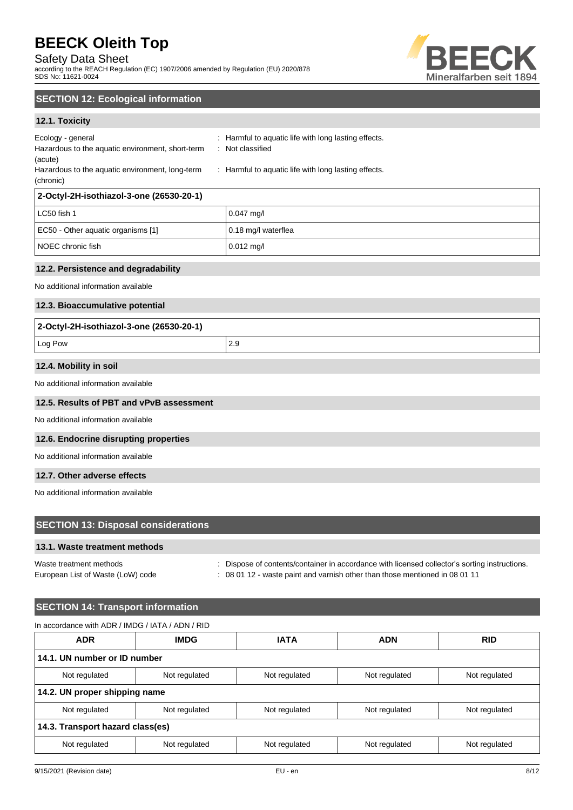Safety Data Sheet

according to the REACH Regulation (EC) 1907/2006 amended by Regulation (EU) 2020/878 SDS No: 11621-0024



# **SECTION 12: Ecological information**

# **12.1. Toxicity**

| : Harmful to aquatic life with long lasting effects. |
|------------------------------------------------------|
|                                                      |
|                                                      |
|                                                      |
| : Not classified                                     |
| : Harmful to aquatic life with long lasting effects. |
|                                                      |

| LC50 fish 1                        | $0.047$ mg/         |
|------------------------------------|---------------------|
| EC50 - Other aquatic organisms [1] | 0.18 mg/l waterflea |
| I NOEC chronic fish                | $0.012$ mg/l        |

## **12.2. Persistence and degradability**

No additional information available

## **12.3. Bioaccumulative potential**

| 2-Octyl-2H-isothiazol-3-one (26530-20-1) |     |
|------------------------------------------|-----|
| Log Pow                                  | 2.9 |
|                                          |     |

### **12.4. Mobility in soil**

No additional information available

## **12.5. Results of PBT and vPvB assessment**

No additional information available

## **12.6. Endocrine disrupting properties**

No additional information available

# **12.7. Other adverse effects**

No additional information available

| <b>SECTION 13: Disposal considerations</b>                   |                                                                                                                                                                              |
|--------------------------------------------------------------|------------------------------------------------------------------------------------------------------------------------------------------------------------------------------|
| 13.1. Waste treatment methods                                |                                                                                                                                                                              |
| Waste treatment methods<br>European List of Waste (LoW) code | : Dispose of contents/container in accordance with licensed collector's sorting instructions.<br>: 08 01 12 - waste paint and varnish other than those mentioned in 08 01 11 |

# **SECTION 14: Transport information**

| In accordance with ADR / IMDG / IATA / ADN / RID |               |               |               |               |
|--------------------------------------------------|---------------|---------------|---------------|---------------|
| <b>ADR</b>                                       | <b>IMDG</b>   | <b>IATA</b>   | <b>ADN</b>    | <b>RID</b>    |
| 14.1. UN number or ID number                     |               |               |               |               |
| Not regulated                                    | Not regulated | Not regulated | Not regulated | Not regulated |
| 14.2. UN proper shipping name                    |               |               |               |               |
| Not regulated                                    | Not regulated | Not regulated | Not regulated | Not regulated |
| 14.3. Transport hazard class(es)                 |               |               |               |               |
| Not regulated                                    | Not regulated | Not regulated | Not regulated | Not regulated |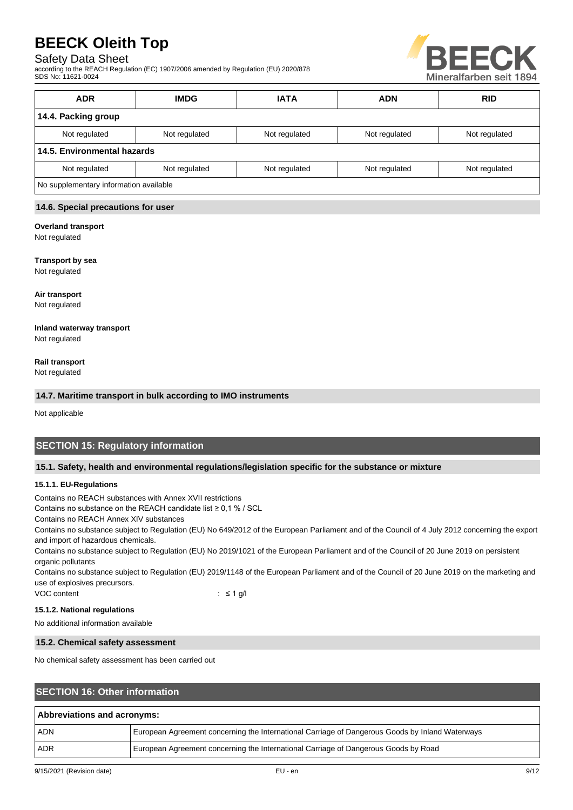# Safety Data Sheet

according to the REACH Regulation (EC) 1907/2006 amended by Regulation (EU) 2020/878 SDS No: 11621-0024



| <b>ADR</b>                             | <b>IMDG</b>   | <b>IATA</b>   | <b>ADN</b>    | <b>RID</b>    |
|----------------------------------------|---------------|---------------|---------------|---------------|
| 14.4. Packing group                    |               |               |               |               |
| Not regulated                          | Not regulated | Not regulated | Not regulated | Not regulated |
| 14.5. Environmental hazards            |               |               |               |               |
| Not regulated                          | Not regulated | Not regulated | Not regulated | Not regulated |
| No supplementary information available |               |               |               |               |

### **14.6. Special precautions for user**

## **Overland transport**

Not regulated

### **Transport by sea**

Not regulated

**Air transport** Not regulated

#### **Inland waterway transport** Not regulated

**Rail transport**

Not regulated

### **14.7. Maritime transport in bulk according to IMO instruments**

Not applicable

# **SECTION 15: Regulatory information**

### **15.1. Safety, health and environmental regulations/legislation specific for the substance or mixture**

### **15.1.1. EU-Regulations**

Contains no REACH substances with Annex XVII restrictions

Contains no substance on the REACH candidate list ≥ 0,1 % / SCL

Contains no REACH Annex XIV substances

Contains no substance subject to Regulation (EU) No 649/2012 of the European Parliament and of the Council of 4 July 2012 concerning the export and import of hazardous chemicals.

Contains no substance subject to Regulation (EU) No 2019/1021 of the European Parliament and of the Council of 20 June 2019 on persistent organic pollutants

Contains no substance subject to Regulation (EU) 2019/1148 of the European Parliament and of the Council of 20 June 2019 on the marketing and use of explosives precursors.

VOC content : ≤ 1 g/l

### **15.1.2. National regulations**

No additional information available

### **15.2. Chemical safety assessment**

No chemical safety assessment has been carried out

# **SECTION 16: Other information**

| Abbreviations and acronyms: |                                                                                                 |  |
|-----------------------------|-------------------------------------------------------------------------------------------------|--|
| <b>ADN</b>                  | European Agreement concerning the International Carriage of Dangerous Goods by Inland Waterways |  |
| <b>ADR</b>                  | European Agreement concerning the International Carriage of Dangerous Goods by Road             |  |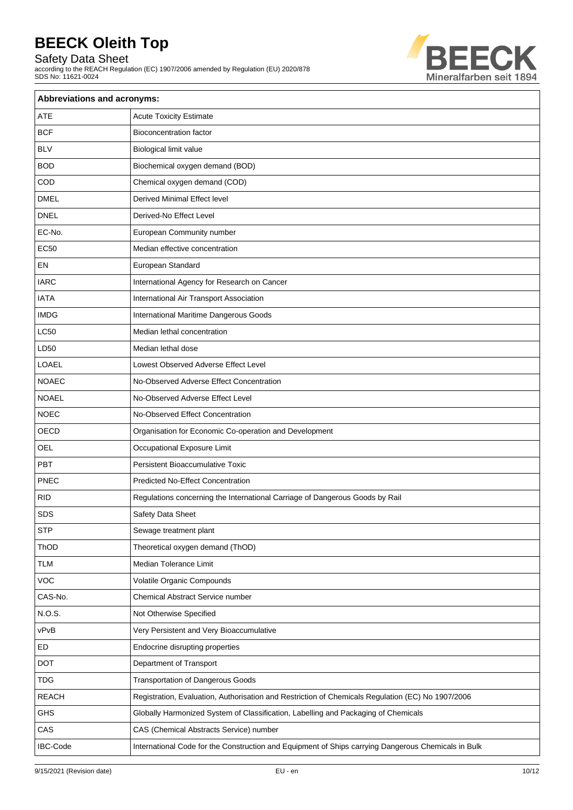Safety Data Sheet

according to the REACH Regulation (EC) 1907/2006 amended by Regulation (EU) 2020/878 SDS No: 11621-0024



| Abbreviations and acronyms: |                                                                                                     |  |  |
|-----------------------------|-----------------------------------------------------------------------------------------------------|--|--|
| ATE                         | <b>Acute Toxicity Estimate</b>                                                                      |  |  |
| <b>BCF</b>                  | <b>Bioconcentration factor</b>                                                                      |  |  |
| <b>BLV</b>                  | Biological limit value                                                                              |  |  |
| <b>BOD</b>                  | Biochemical oxygen demand (BOD)                                                                     |  |  |
| COD                         | Chemical oxygen demand (COD)                                                                        |  |  |
| <b>DMEL</b>                 | Derived Minimal Effect level                                                                        |  |  |
| <b>DNEL</b>                 | Derived-No Effect Level                                                                             |  |  |
| EC-No.                      | European Community number                                                                           |  |  |
| <b>EC50</b>                 | Median effective concentration                                                                      |  |  |
| EN                          | European Standard                                                                                   |  |  |
| <b>IARC</b>                 | International Agency for Research on Cancer                                                         |  |  |
| <b>IATA</b>                 | International Air Transport Association                                                             |  |  |
| <b>IMDG</b>                 | International Maritime Dangerous Goods                                                              |  |  |
| <b>LC50</b>                 | Median lethal concentration                                                                         |  |  |
| LD50                        | Median lethal dose                                                                                  |  |  |
| <b>LOAEL</b>                | Lowest Observed Adverse Effect Level                                                                |  |  |
| <b>NOAEC</b>                | No-Observed Adverse Effect Concentration                                                            |  |  |
| <b>NOAEL</b>                | No-Observed Adverse Effect Level                                                                    |  |  |
| <b>NOEC</b>                 | No-Observed Effect Concentration                                                                    |  |  |
| OECD                        | Organisation for Economic Co-operation and Development                                              |  |  |
| <b>OEL</b>                  | Occupational Exposure Limit                                                                         |  |  |
| <b>PBT</b>                  | <b>Persistent Bioaccumulative Toxic</b>                                                             |  |  |
| <b>PNEC</b>                 | <b>Predicted No-Effect Concentration</b>                                                            |  |  |
| <b>RID</b>                  | Regulations concerning the International Carriage of Dangerous Goods by Rail                        |  |  |
| <b>SDS</b>                  | Safety Data Sheet                                                                                   |  |  |
| <b>STP</b>                  | Sewage treatment plant                                                                              |  |  |
| ThOD                        | Theoretical oxygen demand (ThOD)                                                                    |  |  |
| <b>TLM</b>                  | Median Tolerance Limit                                                                              |  |  |
| VOC                         | Volatile Organic Compounds                                                                          |  |  |
| CAS-No.                     | <b>Chemical Abstract Service number</b>                                                             |  |  |
| N.O.S.                      | Not Otherwise Specified                                                                             |  |  |
| vPvB                        | Very Persistent and Very Bioaccumulative                                                            |  |  |
| ED                          | Endocrine disrupting properties                                                                     |  |  |
| <b>DOT</b>                  | Department of Transport                                                                             |  |  |
| <b>TDG</b>                  | <b>Transportation of Dangerous Goods</b>                                                            |  |  |
| <b>REACH</b>                | Registration, Evaluation, Authorisation and Restriction of Chemicals Regulation (EC) No 1907/2006   |  |  |
| GHS                         | Globally Harmonized System of Classification, Labelling and Packaging of Chemicals                  |  |  |
| CAS                         | CAS (Chemical Abstracts Service) number                                                             |  |  |
| <b>IBC-Code</b>             | International Code for the Construction and Equipment of Ships carrying Dangerous Chemicals in Bulk |  |  |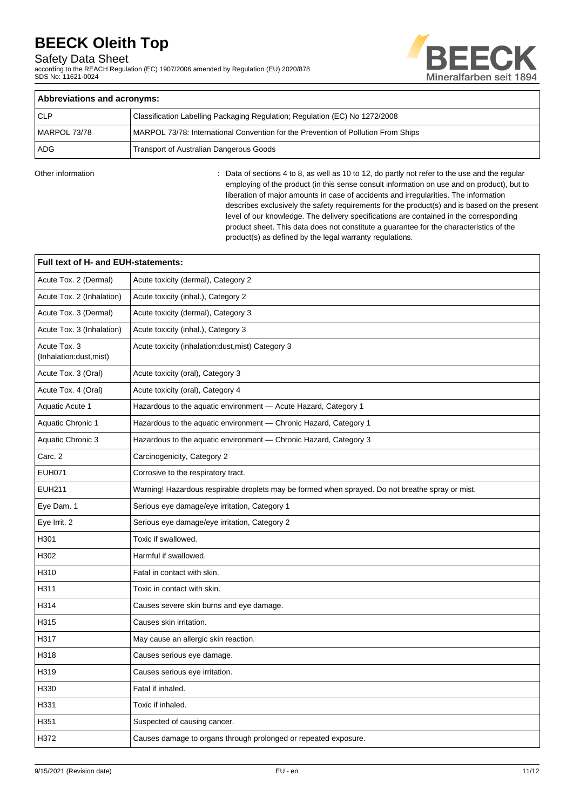Safety Data Sheet

according to the REACH Regulation (EC) 1907/2006 amended by Regulation (EU) 2020/878 SDS No: 11621-0024



| Abbreviations and acronyms:                    |                                                                                   |  |
|------------------------------------------------|-----------------------------------------------------------------------------------|--|
| <b>CLP</b>                                     | Classification Labelling Packaging Regulation; Regulation (EC) No 1272/2008       |  |
| MARPOL 73/78                                   | MARPOL 73/78: International Convention for the Prevention of Pollution From Ships |  |
| ADG<br>Transport of Australian Dangerous Goods |                                                                                   |  |

Other information **interest and the regular**  $\cdot$  Data of sections 4 to 8, as well as 10 to 12, do partly not refer to the use and the regular employing of the product (in this sense consult information on use and on product), but to liberation of major amounts in case of accidents and irregularities. The information describes exclusively the safety requirements for the product(s) and is based on the present level of our knowledge. The delivery specifications are contained in the corresponding product sheet. This data does not constitute a guarantee for the characteristics of the product(s) as defined by the legal warranty regulations.

| Full text of H- and EUH-statements:    |                                                                                                  |  |  |
|----------------------------------------|--------------------------------------------------------------------------------------------------|--|--|
| Acute Tox. 2 (Dermal)                  | Acute toxicity (dermal), Category 2                                                              |  |  |
| Acute Tox. 2 (Inhalation)              | Acute toxicity (inhal.), Category 2                                                              |  |  |
| Acute Tox. 3 (Dermal)                  | Acute toxicity (dermal), Category 3                                                              |  |  |
| Acute Tox. 3 (Inhalation)              | Acute toxicity (inhal.), Category 3                                                              |  |  |
| Acute Tox. 3<br>(Inhalation:dust,mist) | Acute toxicity (inhalation: dust, mist) Category 3                                               |  |  |
| Acute Tox. 3 (Oral)                    | Acute toxicity (oral), Category 3                                                                |  |  |
| Acute Tox. 4 (Oral)                    | Acute toxicity (oral), Category 4                                                                |  |  |
| Aquatic Acute 1                        | Hazardous to the aquatic environment - Acute Hazard, Category 1                                  |  |  |
| <b>Aquatic Chronic 1</b>               | Hazardous to the aquatic environment - Chronic Hazard, Category 1                                |  |  |
| Aquatic Chronic 3                      | Hazardous to the aquatic environment - Chronic Hazard, Category 3                                |  |  |
| Carc. 2                                | Carcinogenicity, Category 2                                                                      |  |  |
| <b>EUH071</b>                          | Corrosive to the respiratory tract.                                                              |  |  |
| <b>EUH211</b>                          | Warning! Hazardous respirable droplets may be formed when sprayed. Do not breathe spray or mist. |  |  |
| Eye Dam. 1                             | Serious eye damage/eye irritation, Category 1                                                    |  |  |
| Eye Irrit. 2                           | Serious eye damage/eye irritation, Category 2                                                    |  |  |
| H301                                   | Toxic if swallowed.                                                                              |  |  |
| H302                                   | Harmful if swallowed.                                                                            |  |  |
| H310                                   | Fatal in contact with skin.                                                                      |  |  |
| H311                                   | Toxic in contact with skin.                                                                      |  |  |
| H314                                   | Causes severe skin burns and eye damage.                                                         |  |  |
| H315                                   | Causes skin irritation.                                                                          |  |  |
| H317                                   | May cause an allergic skin reaction.                                                             |  |  |
| H318                                   | Causes serious eye damage.                                                                       |  |  |
| H319                                   | Causes serious eye irritation.                                                                   |  |  |
| H330                                   | Fatal if inhaled.                                                                                |  |  |
| H331                                   | Toxic if inhaled.                                                                                |  |  |
| H351                                   | Suspected of causing cancer.                                                                     |  |  |
| H372                                   | Causes damage to organs through prolonged or repeated exposure.                                  |  |  |